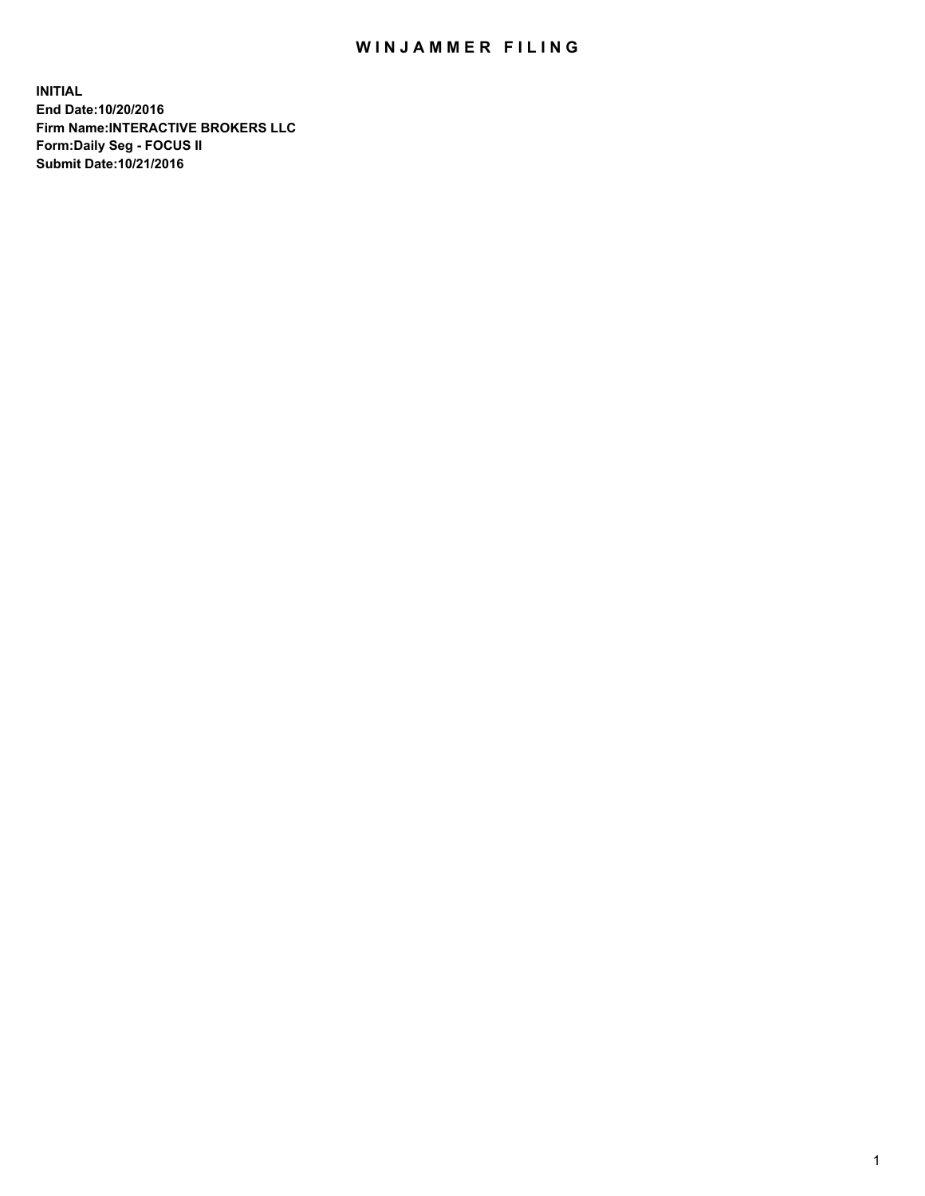## WIN JAMMER FILING

**INITIAL End Date:10/20/2016 Firm Name:INTERACTIVE BROKERS LLC Form:Daily Seg - FOCUS II Submit Date:10/21/2016**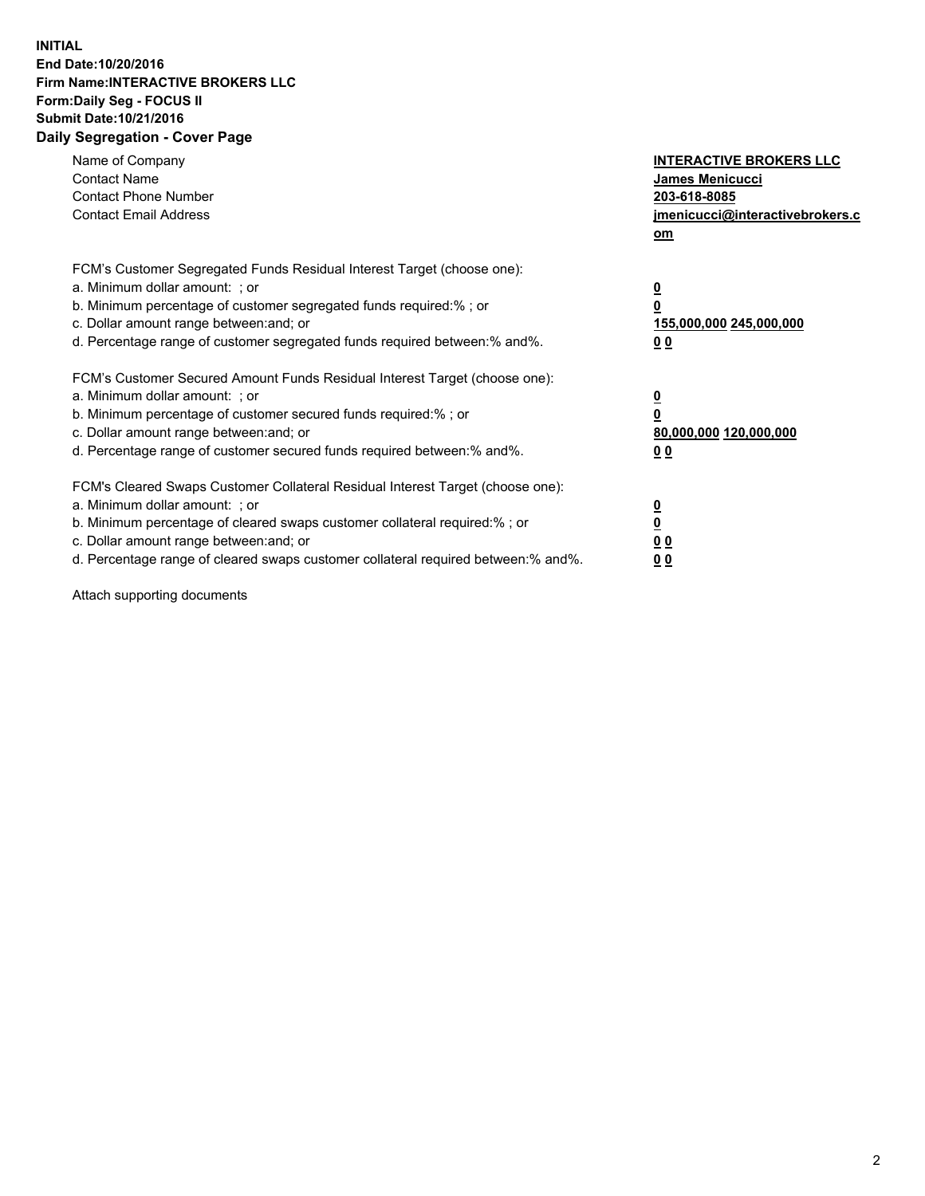## **INITIAL End Date:10/20/2016 Firm Name:INTERACTIVE BROKERS LLC Form:Daily Seg - FOCUS II Submit Date:10/21/2016 Daily Segregation - Cover Page**

| Name of Company<br><b>Contact Name</b><br><b>Contact Phone Number</b><br><b>Contact Email Address</b>                                                                                                                                                                                                                          | <b>INTERACTIVE BROKERS LLC</b><br>James Menicucci<br>203-618-8085<br><u>jmenicucci@interactivebrokers.c</u><br>om |
|--------------------------------------------------------------------------------------------------------------------------------------------------------------------------------------------------------------------------------------------------------------------------------------------------------------------------------|-------------------------------------------------------------------------------------------------------------------|
| FCM's Customer Segregated Funds Residual Interest Target (choose one):<br>a. Minimum dollar amount: ; or<br>b. Minimum percentage of customer segregated funds required:%; or<br>c. Dollar amount range between: and; or<br>d. Percentage range of customer segregated funds required between:% and%.                          | $\overline{\mathbf{0}}$<br>0<br>155,000,000 245,000,000<br>0 <sub>0</sub>                                         |
| FCM's Customer Secured Amount Funds Residual Interest Target (choose one):<br>a. Minimum dollar amount: ; or<br>b. Minimum percentage of customer secured funds required:%; or<br>c. Dollar amount range between: and; or<br>d. Percentage range of customer secured funds required between:% and%.                            | $\overline{\mathbf{0}}$<br>$\overline{\mathbf{0}}$<br>80,000,000 120,000,000<br>00                                |
| FCM's Cleared Swaps Customer Collateral Residual Interest Target (choose one):<br>a. Minimum dollar amount: ; or<br>b. Minimum percentage of cleared swaps customer collateral required:% ; or<br>c. Dollar amount range between: and; or<br>d. Percentage range of cleared swaps customer collateral required between:% and%. | $\overline{\mathbf{0}}$<br>$\overline{\mathbf{0}}$<br>0 <sub>0</sub><br><u>00</u>                                 |

Attach supporting documents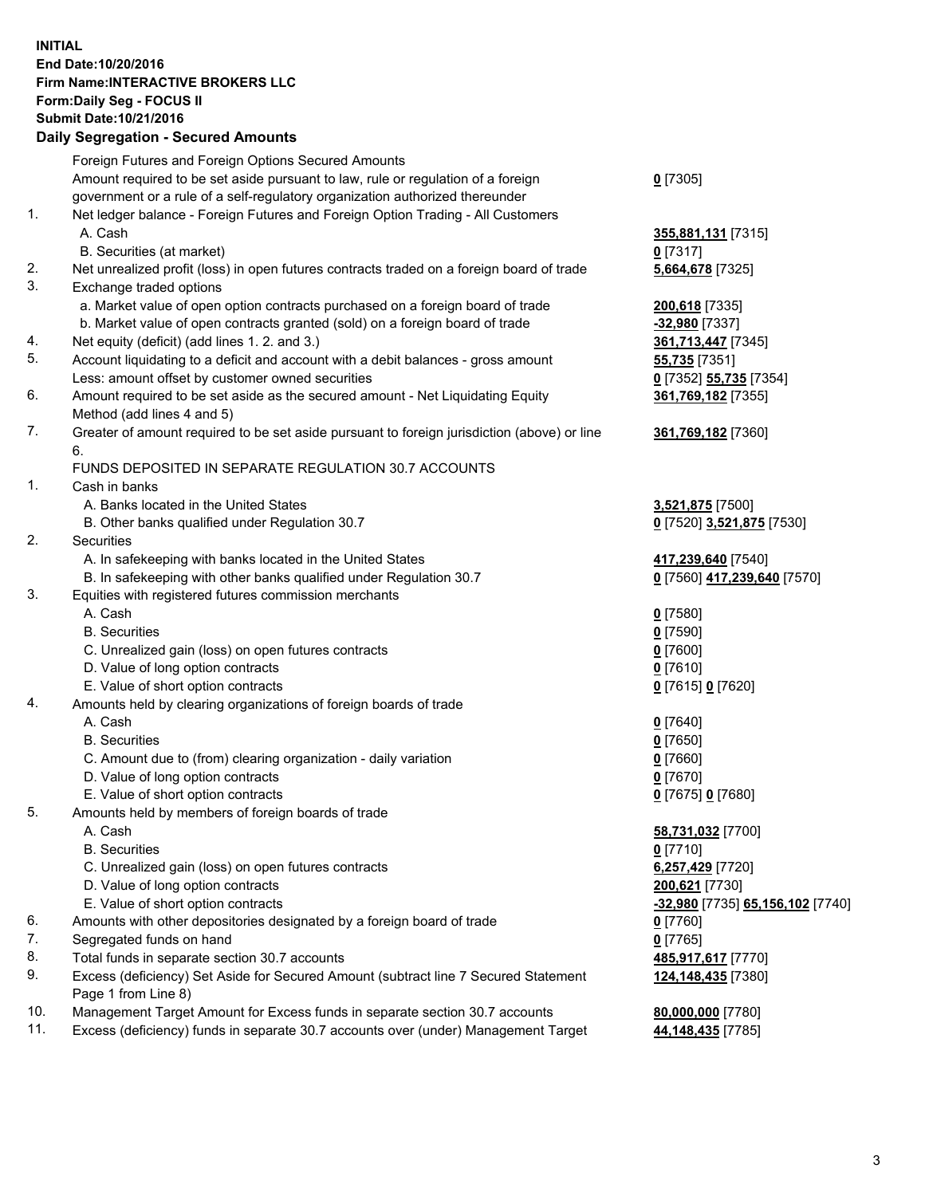## **INITIAL End Date:10/20/2016 Firm Name:INTERACTIVE BROKERS LLC Form:Daily Seg - FOCUS II Submit Date:10/21/2016 Daily Segregation - Secured Amounts**

|     | Daily Jegregation - Jeculed Aniounts                                                        |                                  |
|-----|---------------------------------------------------------------------------------------------|----------------------------------|
|     | Foreign Futures and Foreign Options Secured Amounts                                         |                                  |
|     | Amount required to be set aside pursuant to law, rule or regulation of a foreign            | $0$ [7305]                       |
|     | government or a rule of a self-regulatory organization authorized thereunder                |                                  |
| 1.  | Net ledger balance - Foreign Futures and Foreign Option Trading - All Customers             |                                  |
|     | A. Cash                                                                                     | 355,881,131 [7315]               |
|     | B. Securities (at market)                                                                   | 0 [7317]                         |
| 2.  | Net unrealized profit (loss) in open futures contracts traded on a foreign board of trade   | 5,664,678 [7325]                 |
| 3.  | Exchange traded options                                                                     |                                  |
|     | a. Market value of open option contracts purchased on a foreign board of trade              | 200,618 [7335]                   |
|     | b. Market value of open contracts granted (sold) on a foreign board of trade                | -32,980 [7337]                   |
| 4.  | Net equity (deficit) (add lines 1. 2. and 3.)                                               | 361,713,447 [7345]               |
| 5.  | Account liquidating to a deficit and account with a debit balances - gross amount           | 55,735 [7351]                    |
|     | Less: amount offset by customer owned securities                                            | 0 [7352] 55,735 [7354]           |
| 6.  | Amount required to be set aside as the secured amount - Net Liquidating Equity              | 361,769,182 [7355]               |
|     | Method (add lines 4 and 5)                                                                  |                                  |
| 7.  | Greater of amount required to be set aside pursuant to foreign jurisdiction (above) or line | 361,769,182 [7360]               |
|     | 6.                                                                                          |                                  |
|     | FUNDS DEPOSITED IN SEPARATE REGULATION 30.7 ACCOUNTS                                        |                                  |
| 1.  | Cash in banks                                                                               |                                  |
|     | A. Banks located in the United States                                                       | 3,521,875 [7500]                 |
|     | B. Other banks qualified under Regulation 30.7                                              | 0 [7520] 3,521,875 [7530]        |
| 2.  | Securities                                                                                  |                                  |
|     | A. In safekeeping with banks located in the United States                                   | 417,239,640 [7540]               |
|     | B. In safekeeping with other banks qualified under Regulation 30.7                          | 0 [7560] 417,239,640 [7570]      |
| 3.  | Equities with registered futures commission merchants                                       |                                  |
|     | A. Cash                                                                                     | $0$ [7580]                       |
|     | <b>B.</b> Securities                                                                        | $0$ [7590]                       |
|     | C. Unrealized gain (loss) on open futures contracts                                         | $0$ [7600]                       |
|     | D. Value of long option contracts                                                           |                                  |
|     | E. Value of short option contracts                                                          | $0$ [7610]                       |
| 4.  | Amounts held by clearing organizations of foreign boards of trade                           | 0 [7615] 0 [7620]                |
|     | A. Cash                                                                                     |                                  |
|     | <b>B.</b> Securities                                                                        | $0$ [7640]                       |
|     |                                                                                             | $0$ [7650]                       |
|     | C. Amount due to (from) clearing organization - daily variation                             | $0$ [7660]                       |
|     | D. Value of long option contracts                                                           | $0$ [7670]                       |
|     | E. Value of short option contracts                                                          | 0 [7675] 0 [7680]                |
| 5.  | Amounts held by members of foreign boards of trade                                          |                                  |
|     | A. Cash                                                                                     | 58,731,032 [7700]                |
|     | <b>B.</b> Securities                                                                        | $0$ [7710]                       |
|     | C. Unrealized gain (loss) on open futures contracts                                         | 6,257,429 [7720]                 |
|     | D. Value of long option contracts                                                           | 200,621 [7730]                   |
|     | E. Value of short option contracts                                                          | -32,980 [7735] 65,156,102 [7740] |
| 6.  | Amounts with other depositories designated by a foreign board of trade                      | 0 [7760]                         |
| 7.  | Segregated funds on hand                                                                    | $0$ [7765]                       |
| 8.  | Total funds in separate section 30.7 accounts                                               | 485,917,617 [7770]               |
| 9.  | Excess (deficiency) Set Aside for Secured Amount (subtract line 7 Secured Statement         | 124,148,435 [7380]               |
|     | Page 1 from Line 8)                                                                         |                                  |
| 10. | Management Target Amount for Excess funds in separate section 30.7 accounts                 | 80,000,000 [7780]                |
| 11. | Excess (deficiency) funds in separate 30.7 accounts over (under) Management Target          | 44,148,435 [7785]                |
|     |                                                                                             |                                  |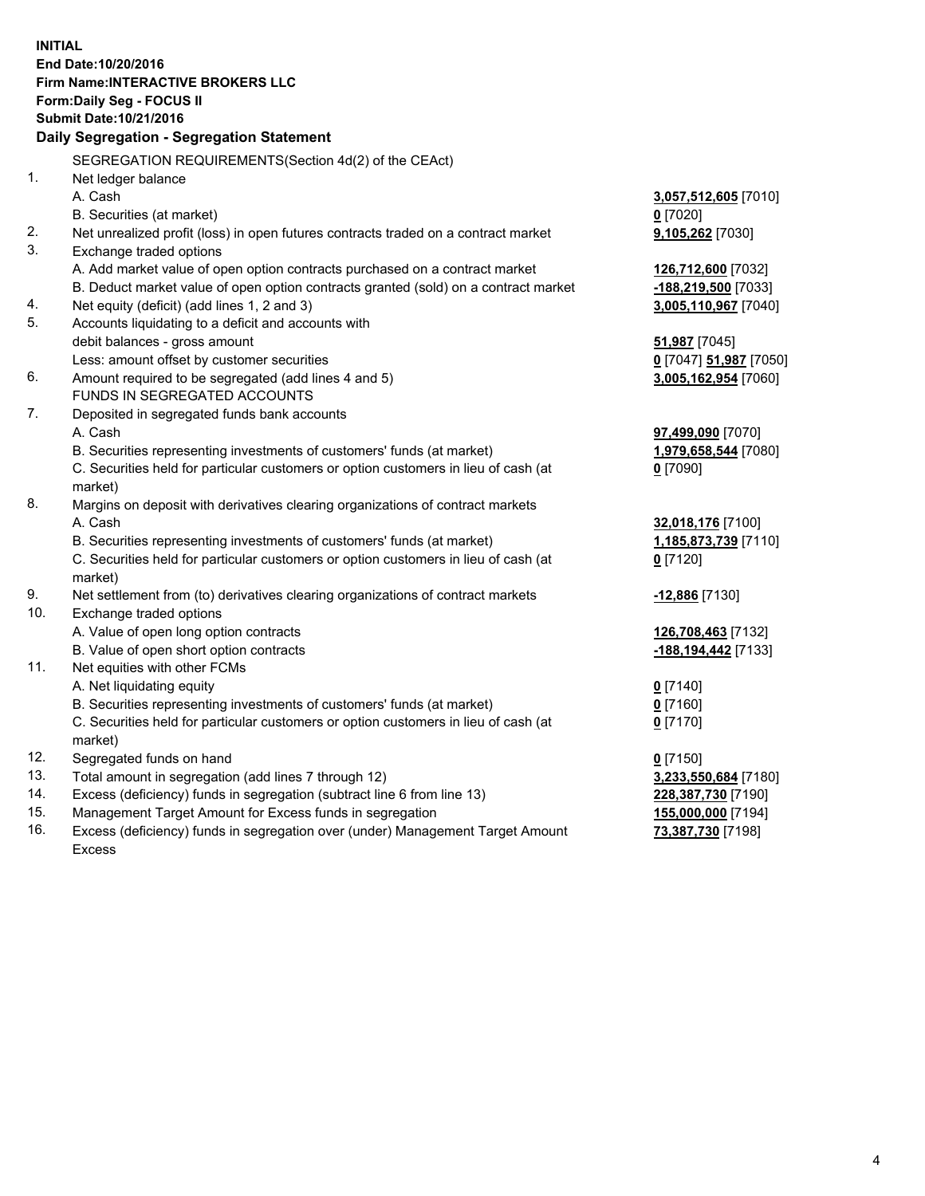**INITIAL End Date:10/20/2016 Firm Name:INTERACTIVE BROKERS LLC Form:Daily Seg - FOCUS II Submit Date:10/21/2016 Daily Segregation - Segregation Statement** SEGREGATION REQUIREMENTS(Section 4d(2) of the CEAct) 1. Net ledger balance A. Cash **3,057,512,605** [7010] B. Securities (at market) **0** [7020] 2. Net unrealized profit (loss) in open futures contracts traded on a contract market **9,105,262** [7030] 3. Exchange traded options A. Add market value of open option contracts purchased on a contract market **126,712,600** [7032] B. Deduct market value of open option contracts granted (sold) on a contract market **-188,219,500** [7033] 4. Net equity (deficit) (add lines 1, 2 and 3) **3,005,110,967** [7040] 5. Accounts liquidating to a deficit and accounts with debit balances - gross amount **51,987** [7045] Less: amount offset by customer securities **0** [7047] **51,987** [7050] 6. Amount required to be segregated (add lines 4 and 5) **3,005,162,954** [7060] FUNDS IN SEGREGATED ACCOUNTS 7. Deposited in segregated funds bank accounts A. Cash **97,499,090** [7070] B. Securities representing investments of customers' funds (at market) **1,979,658,544** [7080] C. Securities held for particular customers or option customers in lieu of cash (at market) **0** [7090] 8. Margins on deposit with derivatives clearing organizations of contract markets A. Cash **32,018,176** [7100] B. Securities representing investments of customers' funds (at market) **1,185,873,739** [7110] C. Securities held for particular customers or option customers in lieu of cash (at market) **0** [7120] 9. Net settlement from (to) derivatives clearing organizations of contract markets **-12,886** [7130] 10. Exchange traded options A. Value of open long option contracts **126,708,463** [7132] B. Value of open short option contracts **-188,194,442** [7133] 11. Net equities with other FCMs A. Net liquidating equity **0** [7140] B. Securities representing investments of customers' funds (at market) **0** [7160] C. Securities held for particular customers or option customers in lieu of cash (at market) **0** [7170] 12. Segregated funds on hand **0** [7150] 13. Total amount in segregation (add lines 7 through 12) **3,233,550,684** [7180] 14. Excess (deficiency) funds in segregation (subtract line 6 from line 13) **228,387,730** [7190] 15. Management Target Amount for Excess funds in segregation **155,000,000** [7194]

16. Excess (deficiency) funds in segregation over (under) Management Target Amount Excess

**73,387,730** [7198]